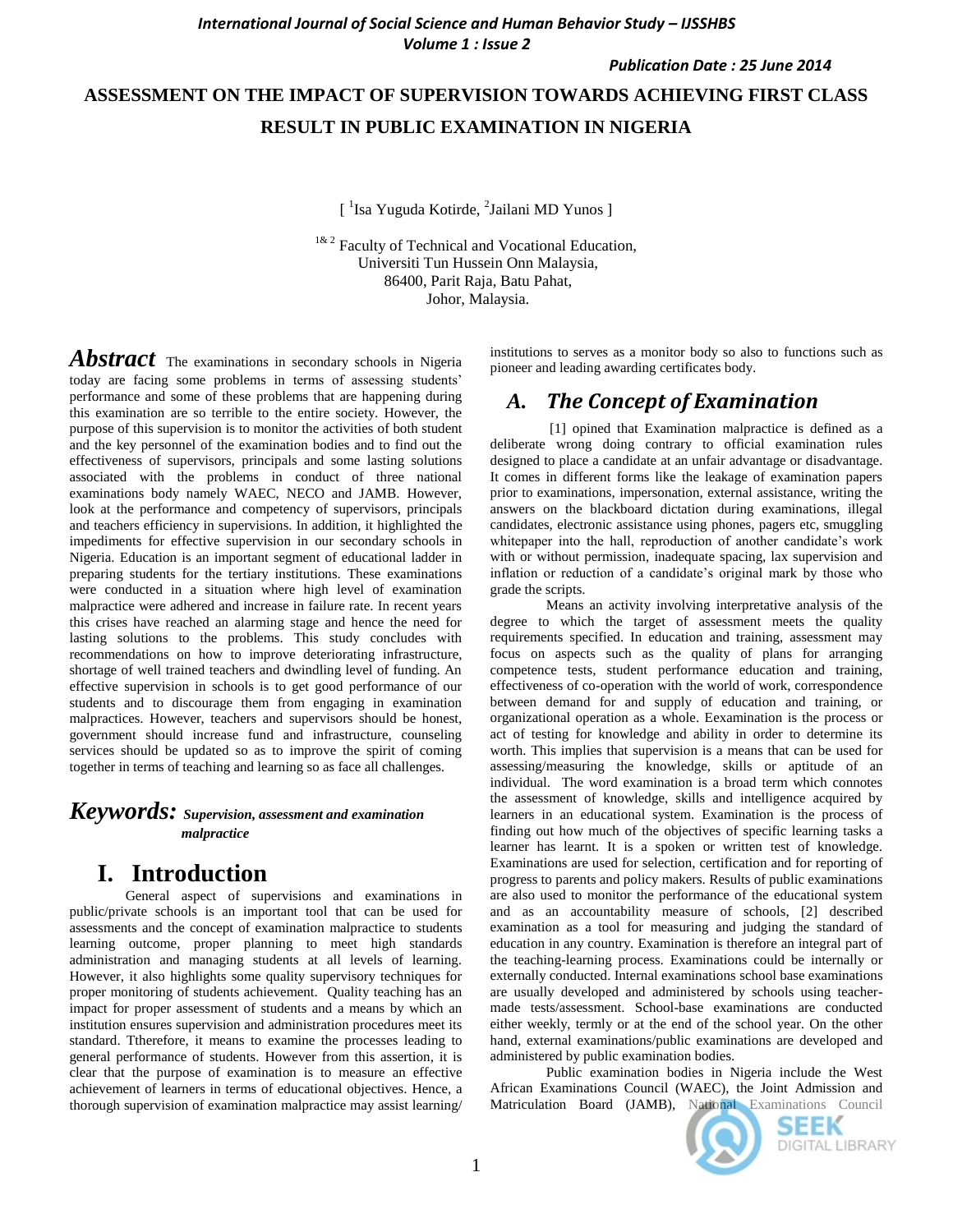*Publication Date : 25 June 2014*

# **ASSESSMENT ON THE IMPACT OF SUPERVISION TOWARDS ACHIEVING FIRST CLASS RESULT IN PUBLIC EXAMINATION IN NIGERIA**

[<sup>1</sup>Isa Yuguda Kotirde, <sup>2</sup>Jailani MD Yunos ]

<sup>1& 2</sup> Faculty of Technical and Vocational Education, Universiti Tun Hussein Onn Malaysia, 86400, Parit Raja, Batu Pahat, Johor, Malaysia.

*Abstract* The examinations in secondary schools in Nigeria today are facing some problems in terms of assessing students' performance and some of these problems that are happening during this examination are so terrible to the entire society. However, the purpose of this supervision is to monitor the activities of both student and the key personnel of the examination bodies and to find out the effectiveness of supervisors, principals and some lasting solutions associated with the problems in conduct of three national examinations body namely WAEC, NECO and JAMB. However, look at the performance and competency of supervisors, principals and teachers efficiency in supervisions. In addition, it highlighted the impediments for effective supervision in our secondary schools in Nigeria. Education is an important segment of educational ladder in preparing students for the tertiary institutions. These examinations were conducted in a situation where high level of examination malpractice were adhered and increase in failure rate. In recent years this crises have reached an alarming stage and hence the need for lasting solutions to the problems. This study concludes with recommendations on how to improve deteriorating infrastructure, shortage of well trained teachers and dwindling level of funding. An effective supervision in schools is to get good performance of our students and to discourage them from engaging in examination malpractices. However, teachers and supervisors should be honest, government should increase fund and infrastructure, counseling services should be updated so as to improve the spirit of coming together in terms of teaching and learning so as face all challenges.

#### *Keywords: Supervision, assessment and examination malpractice*

## **I. Introduction**

General aspect of supervisions and examinations in public/private schools is an important tool that can be used for assessments and the concept of examination malpractice to students learning outcome, proper planning to meet high standards administration and managing students at all levels of learning. However, it also highlights some quality supervisory techniques for proper monitoring of students achievement. Quality teaching has an impact for proper assessment of students and a means by which an institution ensures supervision and administration procedures meet its standard. Ttherefore, it means to examine the processes leading to general performance of students. However from this assertion, it is clear that the purpose of examination is to measure an effective achievement of learners in terms of educational objectives. Hence, a thorough supervision of examination malpractice may assist learning/

institutions to serves as a monitor body so also to functions such as pioneer and leading awarding certificates body.

### *A. The Concept of Examination*

[1] opined that Examination malpractice is defined as a deliberate wrong doing contrary to official examination rules designed to place a candidate at an unfair advantage or disadvantage. It comes in different forms like the leakage of examination papers prior to examinations, impersonation, external assistance, writing the answers on the blackboard dictation during examinations, illegal candidates, electronic assistance using phones, pagers etc, smuggling whitepaper into the hall, reproduction of another candidate's work with or without permission, inadequate spacing, lax supervision and inflation or reduction of a candidate's original mark by those who grade the scripts.

Means an activity involving interpretative analysis of the degree to which the target of assessment meets the quality requirements specified. In education and training, assessment may focus on aspects such as the quality of plans for arranging competence tests, student performance education and training, effectiveness of co-operation with the world of work, correspondence between demand for and supply of education and training, or organizational operation as a whole. Eexamination is the process or act of testing for knowledge and ability in order to determine its worth. This implies that supervision is a means that can be used for assessing/measuring the knowledge, skills or aptitude of an individual. The word examination is a broad term which connotes the assessment of knowledge, skills and intelligence acquired by learners in an educational system. Examination is the process of finding out how much of the objectives of specific learning tasks a learner has learnt. It is a spoken or written test of knowledge. Examinations are used for selection, certification and for reporting of progress to parents and policy makers. Results of public examinations are also used to monitor the performance of the educational system and as an accountability measure of schools, [2] described examination as a tool for measuring and judging the standard of education in any country. Examination is therefore an integral part of the teaching-learning process. Examinations could be internally or externally conducted. Internal examinations school base examinations are usually developed and administered by schools using teachermade tests/assessment. School-base examinations are conducted either weekly, termly or at the end of the school year. On the other hand, external examinations/public examinations are developed and administered by public examination bodies.

Public examination bodies in Nigeria include the West African Examinations Council (WAEC), the Joint Admission and Matriculation Board (JAMB), National Examinations Council



SEEK **DIGITAL LIBRARY**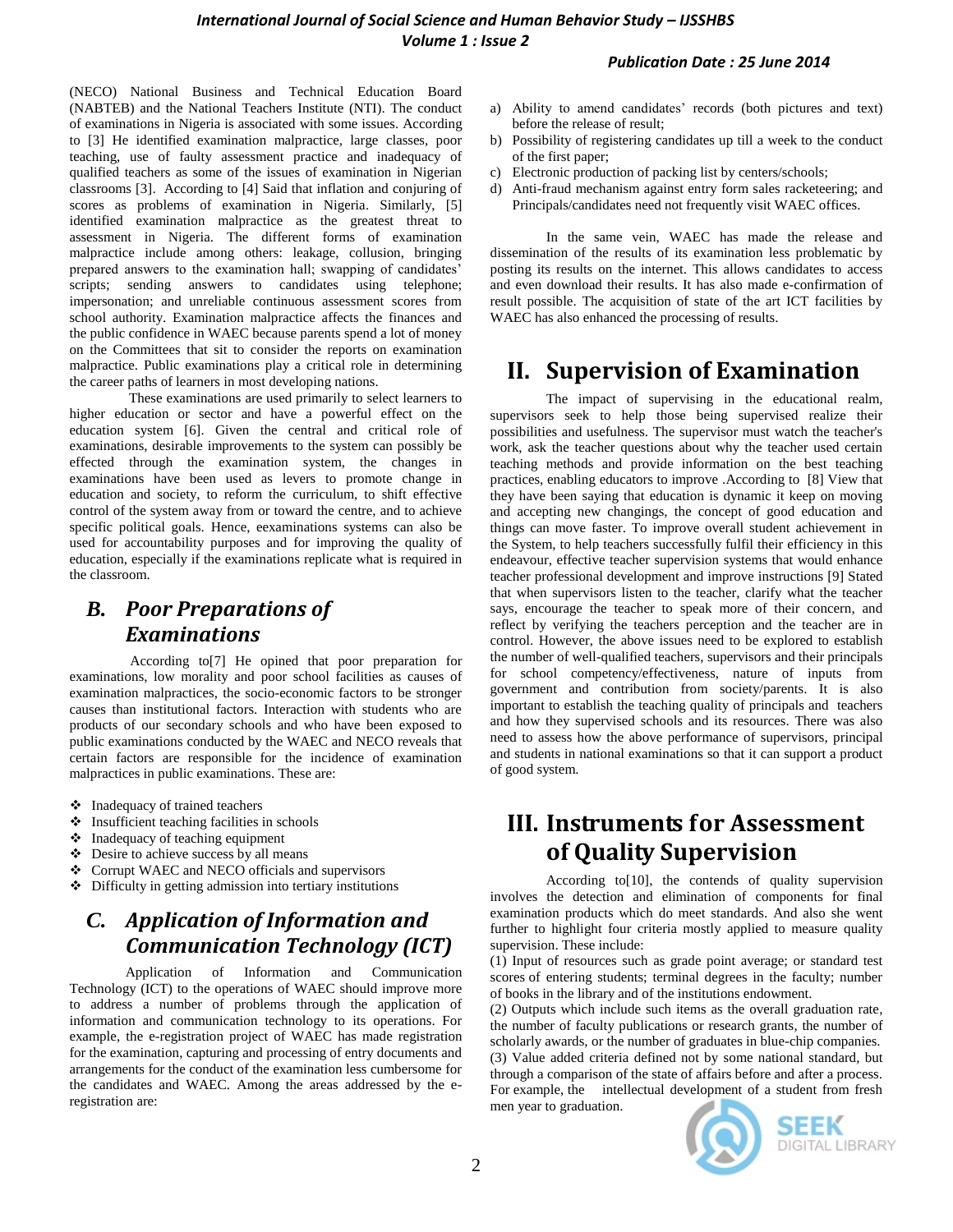(NECO) National Business and Technical Education Board (NABTEB) and the National Teachers Institute (NTI). The conduct of examinations in Nigeria is associated with some issues. According to [3] He identified examination malpractice, large classes, poor teaching, use of faulty assessment practice and inadequacy of qualified teachers as some of the issues of examination in Nigerian classrooms [3]. According to [4] Said that inflation and conjuring of scores as problems of examination in Nigeria. Similarly, [5] identified examination malpractice as the greatest threat to assessment in Nigeria. The different forms of examination malpractice include among others: leakage, collusion, bringing prepared answers to the examination hall; swapping of candidates' scripts; sending answers to candidates using telephone; impersonation; and unreliable continuous assessment scores from school authority. Examination malpractice affects the finances and the public confidence in WAEC because parents spend a lot of money on the Committees that sit to consider the reports on examination malpractice. Public examinations play a critical role in determining the career paths of learners in most developing nations.

These examinations are used primarily to select learners to higher education or sector and have a powerful effect on the education system [6]. Given the central and critical role of examinations, desirable improvements to the system can possibly be effected through the examination system, the changes in examinations have been used as levers to promote change in education and society, to reform the curriculum, to shift effective control of the system away from or toward the centre, and to achieve specific political goals. Hence, eexaminations systems can also be used for accountability purposes and for improving the quality of education, especially if the examinations replicate what is required in the classroom.

# *B. Poor Preparations of Examinations*

According to[7] He opined that poor preparation for examinations, low morality and poor school facilities as causes of examination malpractices, the socio-economic factors to be stronger causes than institutional factors. Interaction with students who are products of our secondary schools and who have been exposed to public examinations conducted by the WAEC and NECO reveals that certain factors are responsible for the incidence of examination malpractices in public examinations. These are:

- Inadequacy of trained teachers
- $\triangleleft$  Insufficient teaching facilities in schools
- $\triangleleft$  Inadequacy of teaching equipment
- Desire to achieve success by all means
- Corrupt WAEC and NECO officials and supervisors
- Difficulty in getting admission into tertiary institutions

# *C. Application of Information and Communication Technology (ICT)*

Application of Information and Communication Technology (ICT) to the operations of WAEC should improve more to address a number of problems through the application of information and communication technology to its operations. For example, the e-registration project of WAEC has made registration for the examination, capturing and processing of entry documents and arrangements for the conduct of the examination less cumbersome for the candidates and WAEC. Among the areas addressed by the eregistration are:

- a) Ability to amend candidates' records (both pictures and text) before the release of result;
- b) Possibility of registering candidates up till a week to the conduct of the first paper;
- c) Electronic production of packing list by centers/schools;
- d) Anti-fraud mechanism against entry form sales racketeering; and Principals/candidates need not frequently visit WAEC offices.

In the same vein, WAEC has made the release and dissemination of the results of its examination less problematic by posting its results on the internet. This allows candidates to access and even download their results. It has also made e-confirmation of result possible. The acquisition of state of the art ICT facilities by WAEC has also enhanced the processing of results.

# **II. Supervision of Examination**

The impact of supervising in the educational realm, supervisors seek to help those being supervised realize their possibilities and usefulness. The supervisor must watch the teacher's work, ask the teacher questions about why the teacher used certain teaching methods and provide information on the best teaching practices, enabling educators to improve .According to [8] View that they have been saying that education is dynamic it keep on moving and accepting new changings, the concept of good education and things can move faster. To improve overall student achievement in the System, to help teachers successfully fulfil their efficiency in this endeavour, effective teacher supervision systems that would enhance teacher professional development and improve instructions [9] Stated that when supervisors listen to the teacher, clarify what the teacher says, encourage the teacher to speak more of their concern, and reflect by verifying the teachers perception and the teacher are in control. However, the above issues need to be explored to establish the number of well-qualified teachers, supervisors and their principals for school competency/effectiveness, nature of inputs from government and contribution from society/parents. It is also important to establish the teaching quality of principals and teachers and how they supervised schools and its resources. There was also need to assess how the above performance of supervisors, principal and students in national examinations so that it can support a product of good system.

# **III. Instruments for Assessment of Quality Supervision**

According to[10], the contends of quality supervision involves the detection and elimination of components for final examination products which do meet standards. And also she went further to highlight four criteria mostly applied to measure quality supervision. These include:

(1) Input of resources such as grade point average; or standard test scores of entering students; terminal degrees in the faculty; number of books in the library and of the institutions endowment.

(2) Outputs which include such items as the overall graduation rate, the number of faculty publications or research grants, the number of scholarly awards, or the number of graduates in blue-chip companies. (3) Value added criteria defined not by some national standard, but through a comparison of the state of affairs before and after a process. For example, the intellectual development of a student from fresh men year to graduation.



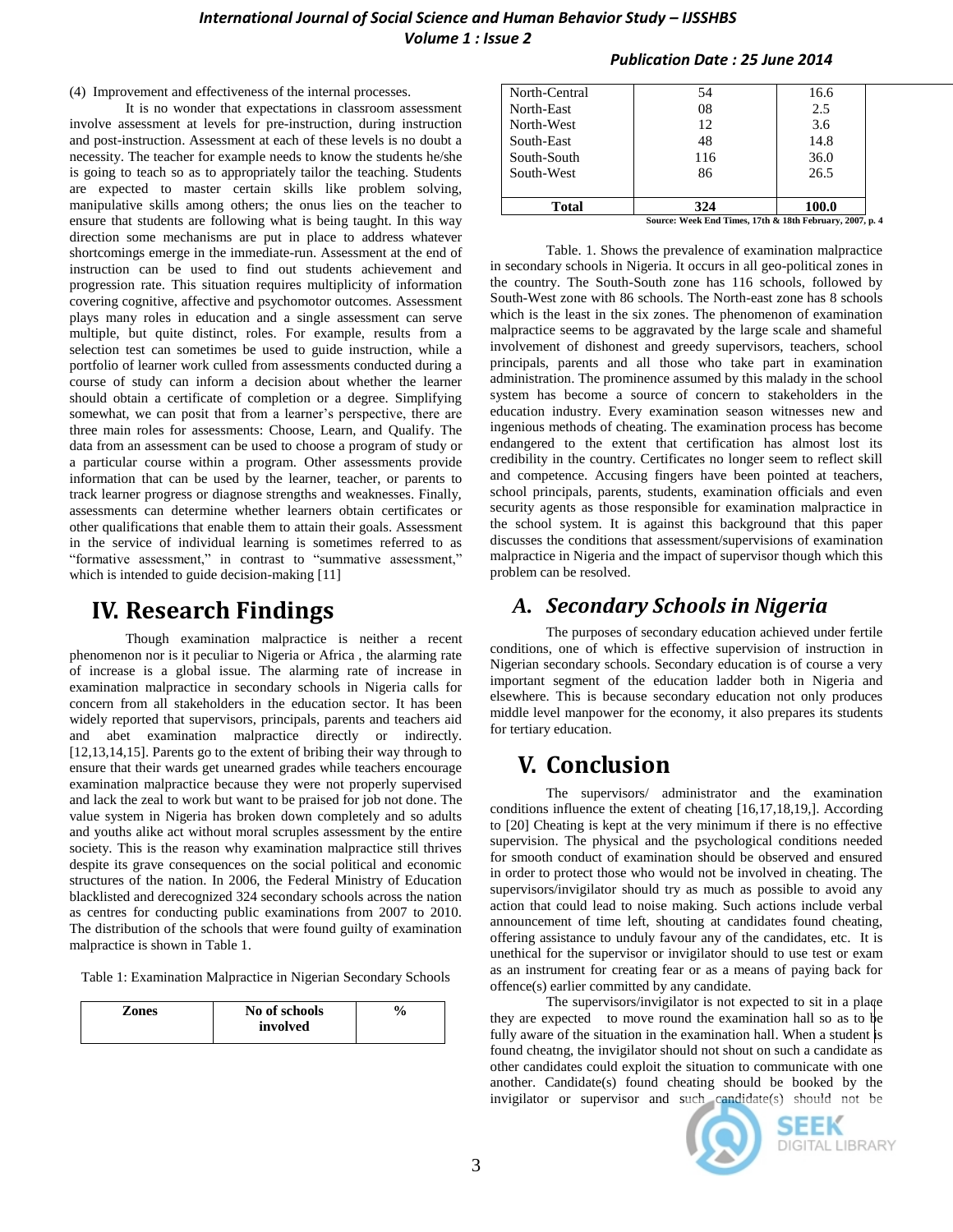#### *International Journal of Social Science and Human Behavior Study – IJSSHBS Volume 1 : Issue 2*

(4) Improvement and effectiveness of the internal processes.

It is no wonder that expectations in classroom assessment involve assessment at levels for pre-instruction, during instruction and post-instruction. Assessment at each of these levels is no doubt a necessity. The teacher for example needs to know the students he/she is going to teach so as to appropriately tailor the teaching. Students are expected to master certain skills like problem solving, manipulative skills among others; the onus lies on the teacher to ensure that students are following what is being taught. In this way direction some mechanisms are put in place to address whatever shortcomings emerge in the immediate-run. Assessment at the end of instruction can be used to find out students achievement and progression rate. This situation requires multiplicity of information covering cognitive, affective and psychomotor outcomes. Assessment plays many roles in education and a single assessment can serve multiple, but quite distinct, roles. For example, results from a selection test can sometimes be used to guide instruction, while a portfolio of learner work culled from assessments conducted during a course of study can inform a decision about whether the learner should obtain a certificate of completion or a degree. Simplifying somewhat, we can posit that from a learner's perspective, there are three main roles for assessments: Choose, Learn, and Qualify. The data from an assessment can be used to choose a program of study or a particular course within a program. Other assessments provide information that can be used by the learner, teacher, or parents to track learner progress or diagnose strengths and weaknesses. Finally, assessments can determine whether learners obtain certificates or other qualifications that enable them to attain their goals. Assessment in the service of individual learning is sometimes referred to as "formative assessment," in contrast to "summative assessment," which is intended to guide decision-making [11]

### **IV. Research Findings**

Though examination malpractice is neither a recent phenomenon nor is it peculiar to Nigeria or Africa , the alarming rate of increase is a global issue. The alarming rate of increase in examination malpractice in secondary schools in Nigeria calls for concern from all stakeholders in the education sector. It has been widely reported that supervisors, principals, parents and teachers aid and abet examination malpractice directly or indirectly. [12,13,14,15]. Parents go to the extent of bribing their way through to ensure that their wards get unearned grades while teachers encourage examination malpractice because they were not properly supervised and lack the zeal to work but want to be praised for job not done. The value system in Nigeria has broken down completely and so adults and youths alike act without moral scruples assessment by the entire society. This is the reason why examination malpractice still thrives despite its grave consequences on the social political and economic structures of the nation. In 2006, the Federal Ministry of Education blacklisted and derecognized 324 secondary schools across the nation as centres for conducting public examinations from 2007 to 2010. The distribution of the schools that were found guilty of examination malpractice is shown in Table 1.

Table 1: Examination Malpractice in Nigerian Secondary Schools

| Zones | No of schools | $\frac{6}{10}$ |
|-------|---------------|----------------|
|       | involved      |                |

#### *Publication Date : 25 June 2014*

| Source: Week End Times, 17th & 18th February, 2007 |     |       |
|----------------------------------------------------|-----|-------|
| <b>Total</b>                                       | 324 | 100.0 |
| South-West                                         | 86  | 26.5  |
|                                                    |     |       |
| South-South                                        | 116 | 36.0  |
| South-East                                         | 48  | 14.8  |
| North-West                                         | 12  | 3.6   |
| North-East                                         | 08  | 2.5   |
|                                                    |     |       |
| North-Central                                      | 54  | 16.6  |

**Source: Week End Times, 17th & 18th February, 2007, p. 4**

Table. 1. Shows the prevalence of examination malpractice in secondary schools in Nigeria. It occurs in all geo-political zones in the country. The South-South zone has 116 schools, followed by South-West zone with 86 schools. The North-east zone has 8 schools which is the least in the six zones. The phenomenon of examination malpractice seems to be aggravated by the large scale and shameful involvement of dishonest and greedy supervisors, teachers, school principals, parents and all those who take part in examination administration. The prominence assumed by this malady in the school system has become a source of concern to stakeholders in the education industry. Every examination season witnesses new and ingenious methods of cheating. The examination process has become endangered to the extent that certification has almost lost its credibility in the country. Certificates no longer seem to reflect skill and competence. Accusing fingers have been pointed at teachers, school principals, parents, students, examination officials and even security agents as those responsible for examination malpractice in the school system. It is against this background that this paper discusses the conditions that assessment/supervisions of examination malpractice in Nigeria and the impact of supervisor though which this problem can be resolved.

### *A. Secondary Schools in Nigeria*

The purposes of secondary education achieved under fertile conditions, one of which is effective supervision of instruction in Nigerian secondary schools. Secondary education is of course a very important segment of the education ladder both in Nigeria and elsewhere. This is because secondary education not only produces middle level manpower for the economy, it also prepares its students for tertiary education.

## **V. Conclusion**

The supervisors/ administrator and the examination conditions influence the extent of cheating [16,17,18,19,]. According to [20] Cheating is kept at the very minimum if there is no effective supervision. The physical and the psychological conditions needed for smooth conduct of examination should be observed and ensured in order to protect those who would not be involved in cheating. The supervisors/invigilator should try as much as possible to avoid any action that could lead to noise making. Such actions include verbal announcement of time left, shouting at candidates found cheating, offering assistance to unduly favour any of the candidates, etc. It is unethical for the supervisor or invigilator should to use test or exam as an instrument for creating fear or as a means of paying back for offence(s) earlier committed by any candidate.

The supervisors/invigilator is not expected to sit in a plaqe they are expected to move round the examination hall so as to be fully aware of the situation in the examination hall. When a student is found cheatng, the invigilator should not shout on such a candidate as other candidates could exploit the situation to communicate with one another. Candidate(s) found cheating should be booked by the invigilator or supervisor and such candidate(s) should not be



SEEK **DIGITAL LIBRARY**